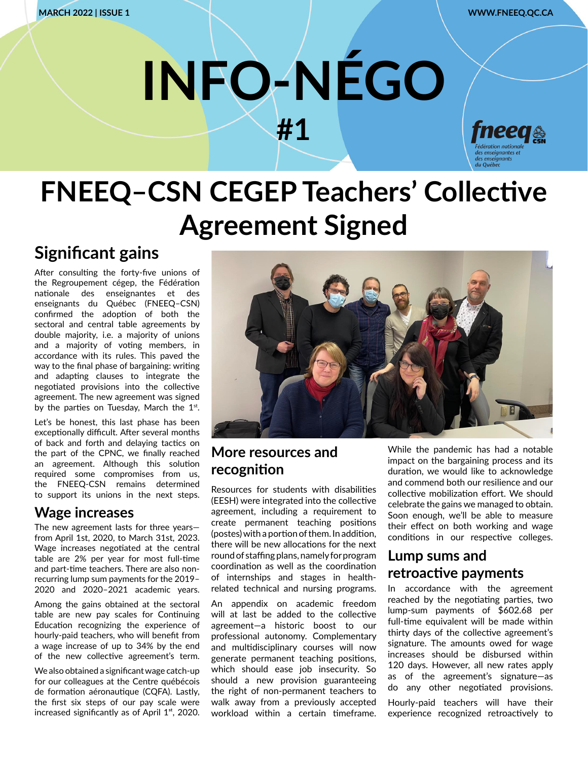# **INFO-NÉGO #1**



## **FNEEQ–CSN CEGEP Teachers' Collective Agreement Signed**

### **Significant gains**

After consulting the forty-five unions of the Regroupement cégep, the Fédération nationale des enseignantes et des enseignants du Québec (FNEEQ–CSN) confirmed the adoption of both the sectoral and central table agreements by double majority, i.e. a majority of unions and a majority of voting members, in accordance with its rules. This paved the way to the final phase of bargaining: writing and adapting clauses to integrate the negotiated provisions into the collective agreement. The new agreement was signed by the parties on Tuesday, March the  $1^{st}$ .

Let's be honest, this last phase has been exceptionally difficult. After several months of back and forth and delaying tactics on the part of the CPNC, we finally reached an agreement. Although this solution required some compromises from us, the FNEEQ-CSN remains determined to support its unions in the next steps.

#### **Wage increases**

The new agreement lasts for three years from April 1st, 2020, to March 31st, 2023. Wage increases negotiated at the central table are 2% per year for most full-time and part-time teachers. There are also nonrecurring lump sum payments for the 2019– 2020 and 2020–2021 academic years.

Among the gains obtained at the sectoral table are new pay scales for Continuing Education recognizing the experience of hourly-paid teachers, who will benefit from a wage increase of up to 34% by the end of the new collective agreement's term.

We also obtained a significant wage catch-up for our colleagues at the Centre québécois de formation aéronautique (CQFA). Lastly, the first six steps of our pay scale were increased significantly as of April  $1<sup>st</sup>$ , 2020.



#### **More resources and recognition**

Resources for students with disabilities (EESH) were integrated into the collective agreement, including a requirement to create permanent teaching positions (postes) with a portion of them. In addition, there will be new allocations for the next round of staffing plans, namely for program coordination as well as the coordination of internships and stages in healthrelated technical and nursing programs.

An appendix on academic freedom will at last be added to the collective agreement—a historic boost to our professional autonomy. Complementary and multidisciplinary courses will now generate permanent teaching positions, which should ease job insecurity. So should a new provision guaranteeing the right of non-permanent teachers to walk away from a previously accepted workload within a certain timeframe. While the pandemic has had a notable impact on the bargaining process and its duration, we would like to acknowledge and commend both our resilience and our collective mobilization effort. We should celebrate the gains we managed to obtain. Soon enough, we'll be able to measure their effect on both working and wage conditions in our respective colleges.

#### **Lump sums and retroactive payments**

In accordance with the agreement reached by the negotiating parties, two lump-sum payments of \$602.68 per full-time equivalent will be made within thirty days of the collective agreement's signature. The amounts owed for wage increases should be disbursed within 120 days. However, all new rates apply as of the agreement's signature—as do any other negotiated provisions. Hourly-paid teachers will have their experience recognized retroactively to